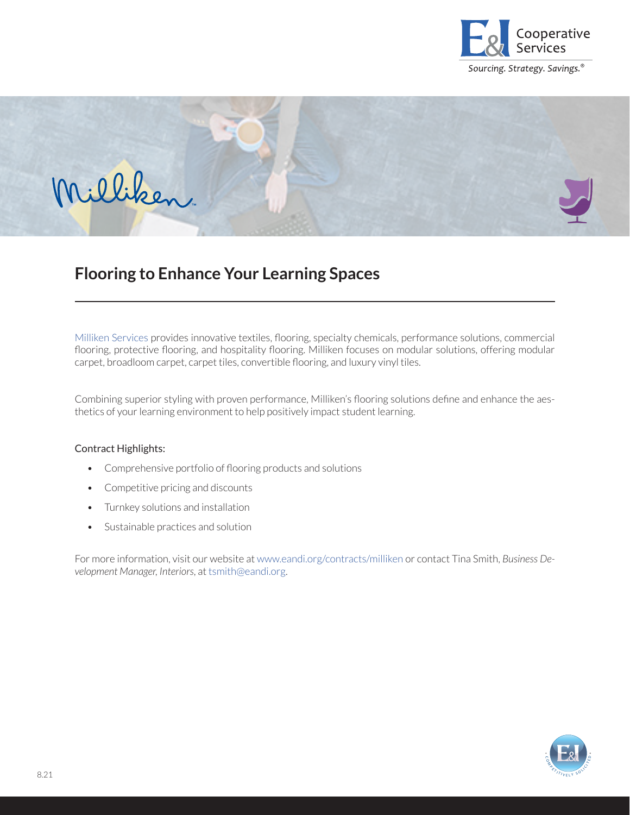



## **Flooring to Enhance Your Learning Spaces**

[Milliken Services](https://www.eandi.org/contracts/milliken-services/) provides innovative textiles, flooring, specialty chemicals, performance solutions, commercial flooring, protective flooring, and hospitality flooring. Milliken focuses on modular solutions, offering modular carpet, broadloom carpet, carpet tiles, convertible flooring, and luxury vinyl tiles.

Combining superior styling with proven performance, Milliken's flooring solutions define and enhance the aesthetics of your learning environment to help positively impact student learning.

## Contract Highlights:

- Comprehensive portfolio of flooring products and solutions
- Competitive pricing and discounts
- Turnkey solutions and installation
- Sustainable practices and solution

For more information, visit our website at [www.eandi.org/contracts/milliken](http://www.eandi.org/contracts/milliken-services) or contact Tina Smith, *Business Development Manager, Interiors*, at [tsmith@eandi.org.](mailto:tsmith%40eandi.org?subject=)